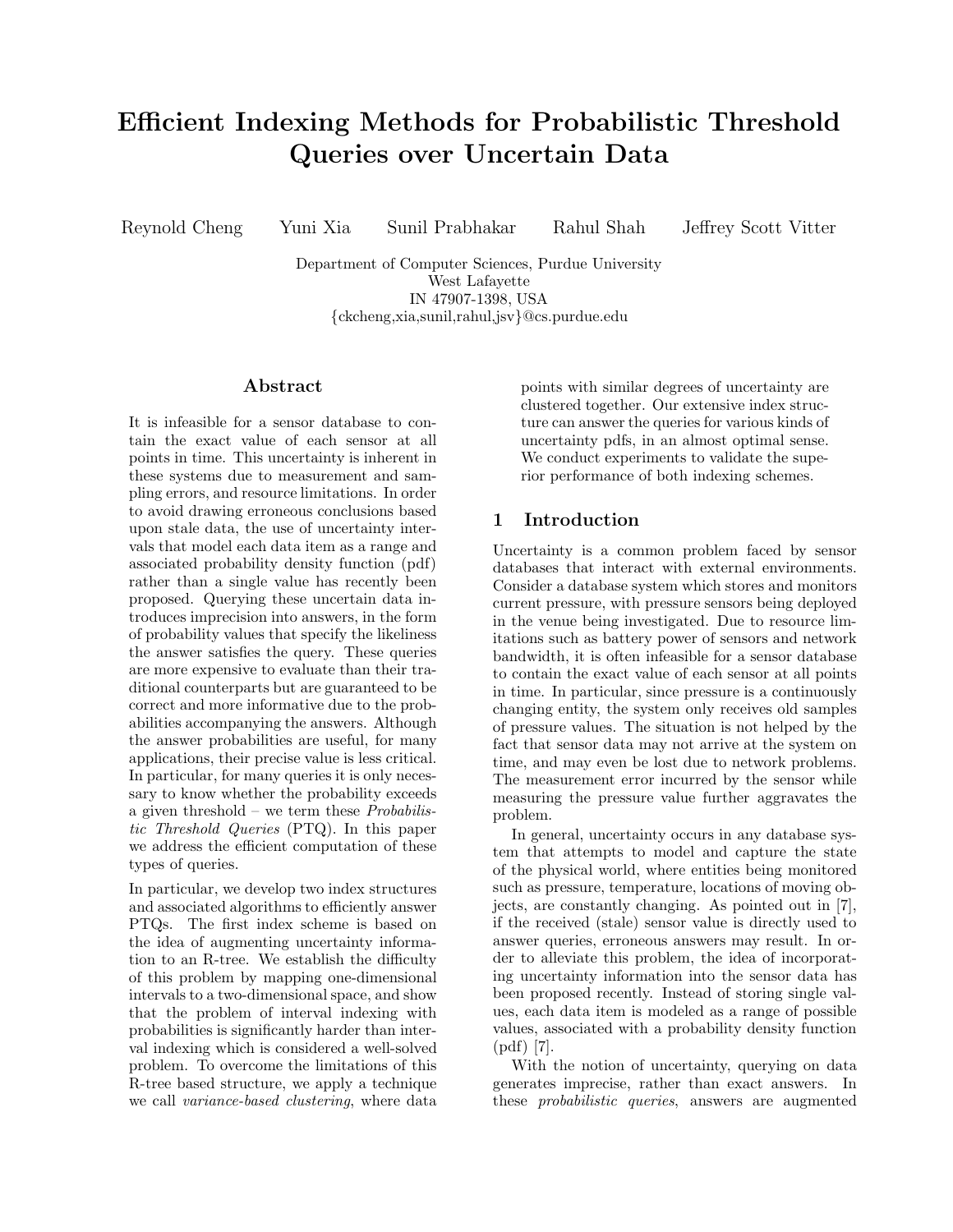# Efficient Indexing Methods for Probabilistic Threshold Queries over Uncertain Data

Reynold Cheng Yuni Xia Sunil Prabhakar Rahul Shah Jeffrey Scott Vitter

Department of Computer Sciences, Purdue University West Lafayette IN 47907-1398, USA {ckcheng,xia,sunil,rahul,jsv}@cs.purdue.edu

## Abstract

It is infeasible for a sensor database to contain the exact value of each sensor at all points in time. This uncertainty is inherent in these systems due to measurement and sampling errors, and resource limitations. In order to avoid drawing erroneous conclusions based upon stale data, the use of uncertainty intervals that model each data item as a range and associated probability density function (pdf) rather than a single value has recently been proposed. Querying these uncertain data introduces imprecision into answers, in the form of probability values that specify the likeliness the answer satisfies the query. These queries are more expensive to evaluate than their traditional counterparts but are guaranteed to be correct and more informative due to the probabilities accompanying the answers. Although the answer probabilities are useful, for many applications, their precise value is less critical. In particular, for many queries it is only necessary to know whether the probability exceeds a given threshold – we term these  $Probability$ tic Threshold Queries (PTQ). In this paper we address the efficient computation of these types of queries.

In particular, we develop two index structures and associated algorithms to efficiently answer PTQs. The first index scheme is based on the idea of augmenting uncertainty information to an R-tree. We establish the difficulty of this problem by mapping one-dimensional intervals to a two-dimensional space, and show that the problem of interval indexing with probabilities is significantly harder than interval indexing which is considered a well-solved problem. To overcome the limitations of this R-tree based structure, we apply a technique we call variance-based clustering, where data

points with similar degrees of uncertainty are clustered together. Our extensive index structure can answer the queries for various kinds of uncertainty pdfs, in an almost optimal sense. We conduct experiments to validate the superior performance of both indexing schemes.

# 1 Introduction

Uncertainty is a common problem faced by sensor databases that interact with external environments. Consider a database system which stores and monitors current pressure, with pressure sensors being deployed in the venue being investigated. Due to resource limitations such as battery power of sensors and network bandwidth, it is often infeasible for a sensor database to contain the exact value of each sensor at all points in time. In particular, since pressure is a continuously changing entity, the system only receives old samples of pressure values. The situation is not helped by the fact that sensor data may not arrive at the system on time, and may even be lost due to network problems. The measurement error incurred by the sensor while measuring the pressure value further aggravates the problem.

In general, uncertainty occurs in any database system that attempts to model and capture the state of the physical world, where entities being monitored such as pressure, temperature, locations of moving objects, are constantly changing. As pointed out in [7], if the received (stale) sensor value is directly used to answer queries, erroneous answers may result. In order to alleviate this problem, the idea of incorporating uncertainty information into the sensor data has been proposed recently. Instead of storing single values, each data item is modeled as a range of possible values, associated with a probability density function (pdf) [7].

With the notion of uncertainty, querying on data generates imprecise, rather than exact answers. In these probabilistic queries, answers are augmented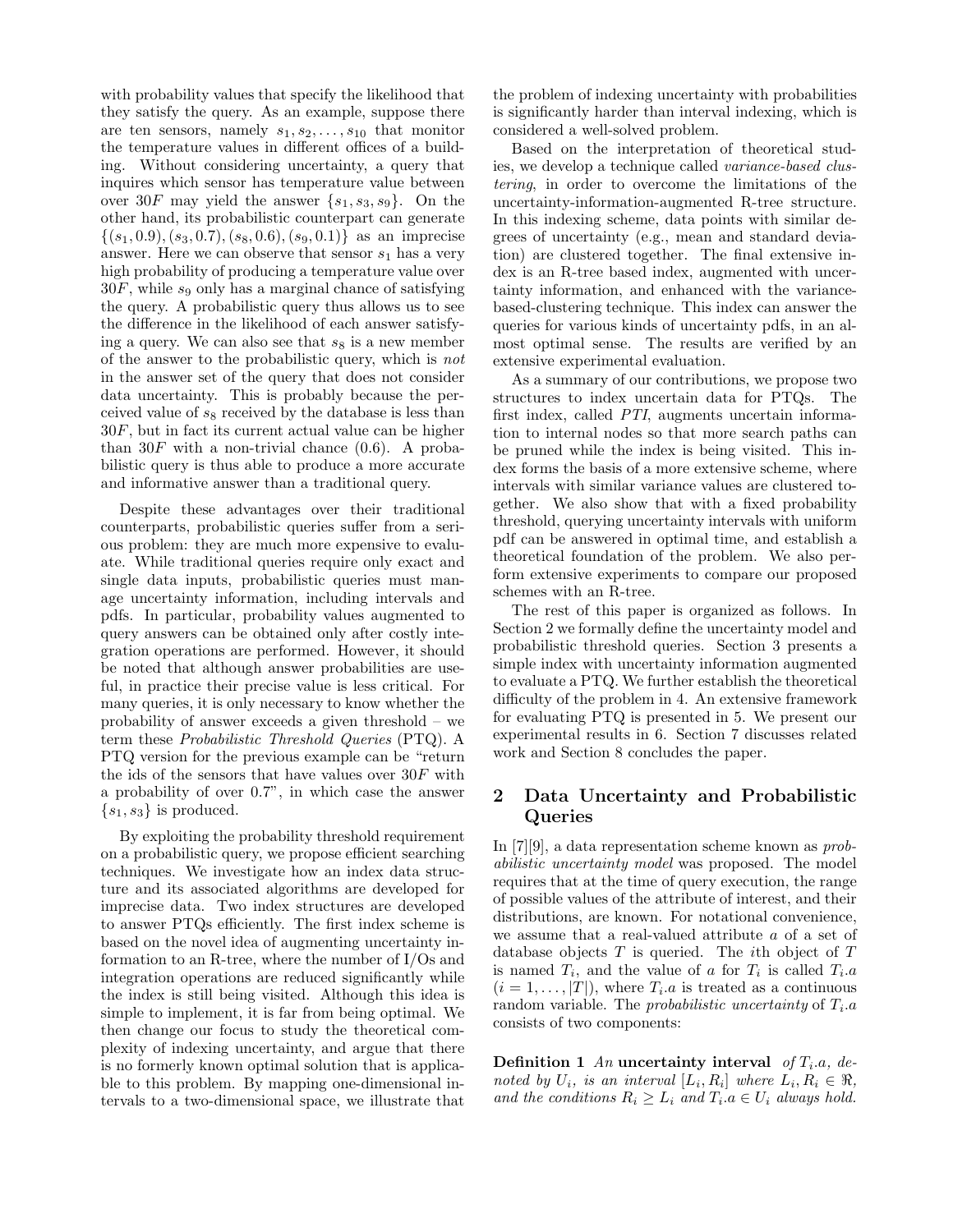with probability values that specify the likelihood that they satisfy the query. As an example, suppose there are ten sensors, namely  $s_1, s_2, \ldots, s_{10}$  that monitor the temperature values in different offices of a building. Without considering uncertainty, a query that inquires which sensor has temperature value between over 30F may yield the answer  $\{s_1, s_3, s_9\}$ . On the other hand, its probabilistic counterpart can generate  $\{(s_1, 0.9), (s_3, 0.7), (s_8, 0.6), (s_9, 0.1)\}\$ as an imprecise answer. Here we can observe that sensor  $s_1$  has a very high probability of producing a temperature value over  $30F$ , while s<sub>9</sub> only has a marginal chance of satisfying the query. A probabilistic query thus allows us to see the difference in the likelihood of each answer satisfying a query. We can also see that  $s_8$  is a new member of the answer to the probabilistic query, which is not in the answer set of the query that does not consider data uncertainty. This is probably because the perceived value of  $s_8$  received by the database is less than 30F, but in fact its current actual value can be higher than  $30F$  with a non-trivial chance  $(0.6)$ . A probabilistic query is thus able to produce a more accurate and informative answer than a traditional query.

Despite these advantages over their traditional counterparts, probabilistic queries suffer from a serious problem: they are much more expensive to evaluate. While traditional queries require only exact and single data inputs, probabilistic queries must manage uncertainty information, including intervals and pdfs. In particular, probability values augmented to query answers can be obtained only after costly integration operations are performed. However, it should be noted that although answer probabilities are useful, in practice their precise value is less critical. For many queries, it is only necessary to know whether the probability of answer exceeds a given threshold – we term these Probabilistic Threshold Queries (PTQ). A PTQ version for the previous example can be "return the ids of the sensors that have values over  $30F$  with a probability of over 0.7", in which case the answer  $\{s_1, s_3\}$  is produced.

By exploiting the probability threshold requirement on a probabilistic query, we propose efficient searching techniques. We investigate how an index data structure and its associated algorithms are developed for imprecise data. Two index structures are developed to answer PTQs efficiently. The first index scheme is based on the novel idea of augmenting uncertainty information to an R-tree, where the number of I/Os and integration operations are reduced significantly while the index is still being visited. Although this idea is simple to implement, it is far from being optimal. We then change our focus to study the theoretical complexity of indexing uncertainty, and argue that there is no formerly known optimal solution that is applicable to this problem. By mapping one-dimensional intervals to a two-dimensional space, we illustrate that

the problem of indexing uncertainty with probabilities is significantly harder than interval indexing, which is considered a well-solved problem.

Based on the interpretation of theoretical studies, we develop a technique called variance-based clustering, in order to overcome the limitations of the uncertainty-information-augmented R-tree structure. In this indexing scheme, data points with similar degrees of uncertainty (e.g., mean and standard deviation) are clustered together. The final extensive index is an R-tree based index, augmented with uncertainty information, and enhanced with the variancebased-clustering technique. This index can answer the queries for various kinds of uncertainty pdfs, in an almost optimal sense. The results are verified by an extensive experimental evaluation.

As a summary of our contributions, we propose two structures to index uncertain data for PTQs. The first index, called PTI, augments uncertain information to internal nodes so that more search paths can be pruned while the index is being visited. This index forms the basis of a more extensive scheme, where intervals with similar variance values are clustered together. We also show that with a fixed probability threshold, querying uncertainty intervals with uniform pdf can be answered in optimal time, and establish a theoretical foundation of the problem. We also perform extensive experiments to compare our proposed schemes with an R-tree.

The rest of this paper is organized as follows. In Section 2 we formally define the uncertainty model and probabilistic threshold queries. Section 3 presents a simple index with uncertainty information augmented to evaluate a PTQ. We further establish the theoretical difficulty of the problem in 4. An extensive framework for evaluating PTQ is presented in 5. We present our experimental results in 6. Section 7 discusses related work and Section 8 concludes the paper.

# 2 Data Uncertainty and Probabilistic Queries

In [7][9], a data representation scheme known as probabilistic uncertainty model was proposed. The model requires that at the time of query execution, the range of possible values of the attribute of interest, and their distributions, are known. For notational convenience, we assume that a real-valued attribute a of a set of database objects  $T$  is queried. The *i*th object of  $T$ is named  $T_i$ , and the value of a for  $T_i$  is called  $T_i.a$  $(i = 1, \ldots, |T|)$ , where  $T_i$  a is treated as a continuous random variable. The *probabilistic uncertainty* of  $T_i.a$ consists of two components:

Definition 1 An uncertainty interval of  $T_i.a, de$ noted by  $U_i$ , is an interval  $[L_i, R_i]$  where  $L_i, R_i \in \mathbb{R}$ , and the conditions  $R_i \geq L_i$  and  $T_i.a \in U_i$  always hold.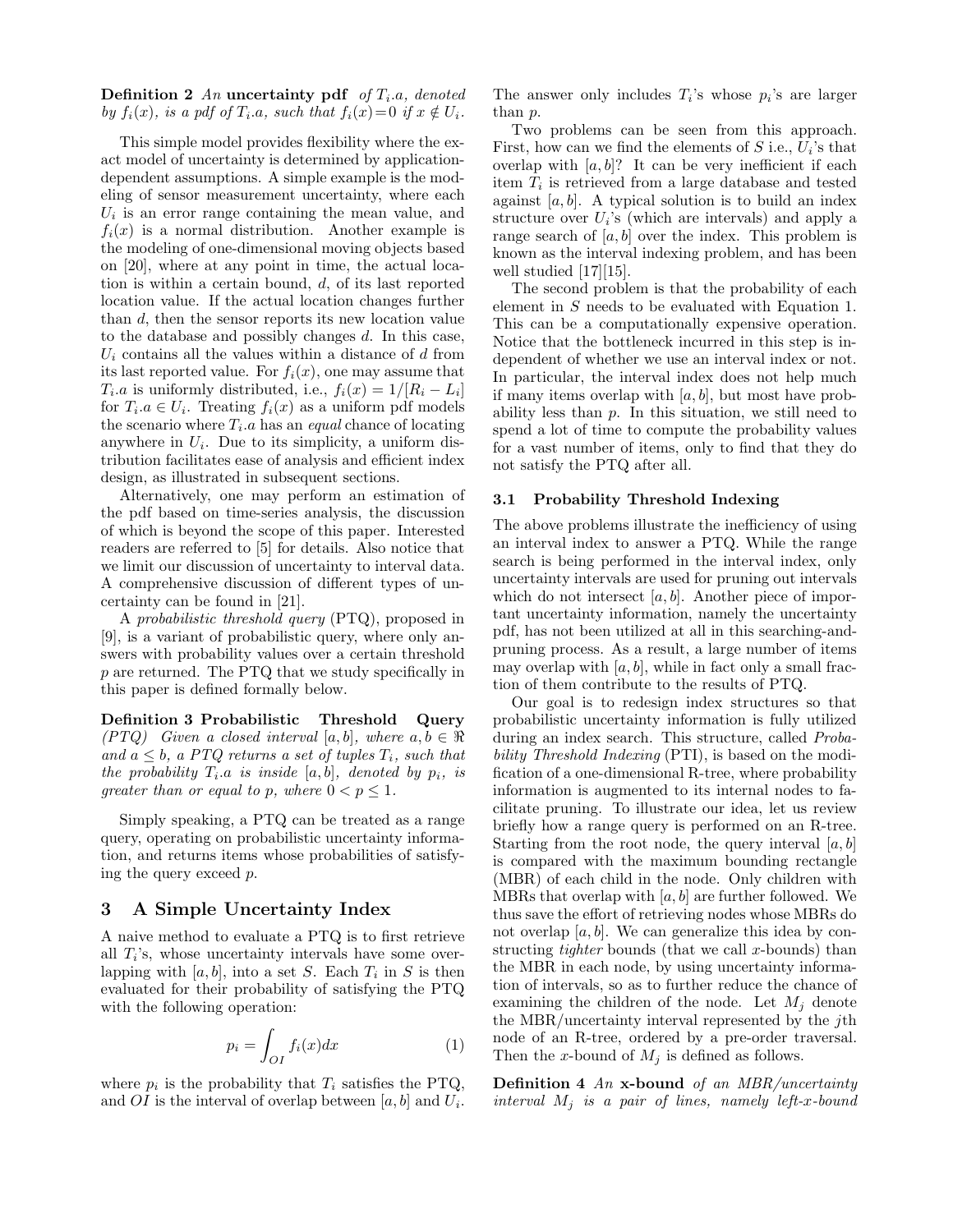Definition 2 An uncertainty pdf of  $T_i.a$ , denoted by  $f_i(x)$ , is a pdf of  $T_i.a$ , such that  $f_i(x)=0$  if  $x \notin U_i$ .

This simple model provides flexibility where the exact model of uncertainty is determined by applicationdependent assumptions. A simple example is the modeling of sensor measurement uncertainty, where each  $U_i$  is an error range containing the mean value, and  $f_i(x)$  is a normal distribution. Another example is the modeling of one-dimensional moving objects based on [20], where at any point in time, the actual location is within a certain bound, d, of its last reported location value. If the actual location changes further than d, then the sensor reports its new location value to the database and possibly changes  $d$ . In this case,  $U_i$  contains all the values within a distance of d from its last reported value. For  $f_i(x)$ , one may assume that  $T_i.a$  is uniformly distributed, i.e.,  $f_i(x) = 1/[R_i - L_i]$ for  $T_i.a \in U_i$ . Treating  $f_i(x)$  as a uniform pdf models the scenario where  $T_i.a$  has an *equal* chance of locating anywhere in  $U_i$ . Due to its simplicity, a uniform distribution facilitates ease of analysis and efficient index design, as illustrated in subsequent sections.

Alternatively, one may perform an estimation of the pdf based on time-series analysis, the discussion of which is beyond the scope of this paper. Interested readers are referred to [5] for details. Also notice that we limit our discussion of uncertainty to interval data. A comprehensive discussion of different types of uncertainty can be found in [21].

A probabilistic threshold query (PTQ), proposed in [9], is a variant of probabilistic query, where only answers with probability values over a certain threshold p are returned. The PTQ that we study specifically in this paper is defined formally below.

Definition 3 Probabilistic Threshold Query (PTQ) Given a closed interval [a, b], where  $a, b \in \Re$ and  $a \leq b$ , a PTQ returns a set of tuples  $T_i$ , such that the probability  $T_i.a$  is inside  $[a, b]$ , denoted by  $p_i$ , is greater than or equal to p, where  $0 < p \leq 1$ .

Simply speaking, a PTQ can be treated as a range query, operating on probabilistic uncertainty information, and returns items whose probabilities of satisfying the query exceed p.

# 3 A Simple Uncertainty Index

A naive method to evaluate a PTQ is to first retrieve all  $T_i$ 's, whose uncertainty intervals have some overlapping with  $[a, b]$ , into a set S. Each  $T_i$  in S is then evaluated for their probability of satisfying the PTQ with the following operation:

$$
p_i = \int_{OI} f_i(x) dx \tag{1}
$$

where  $p_i$  is the probability that  $T_i$  satisfies the PTQ, and OI is the interval of overlap between  $[a, b]$  and  $U_i$ .

The answer only includes  $T_i$ 's whose  $p_i$ 's are larger than p.

Two problems can be seen from this approach. First, how can we find the elements of  $S$  i.e.,  $U_i$ 's that overlap with  $[a, b]$ ? It can be very inefficient if each item  $T_i$  is retrieved from a large database and tested against  $[a, b]$ . A typical solution is to build an index structure over  $U_i$ 's (which are intervals) and apply a range search of  $[a, b]$  over the index. This problem is known as the interval indexing problem, and has been well studied [17][15].

The second problem is that the probability of each element in S needs to be evaluated with Equation 1. This can be a computationally expensive operation. Notice that the bottleneck incurred in this step is independent of whether we use an interval index or not. In particular, the interval index does not help much if many items overlap with  $[a, b]$ , but most have probability less than  $p$ . In this situation, we still need to spend a lot of time to compute the probability values for a vast number of items, only to find that they do not satisfy the PTQ after all.

#### 3.1 Probability Threshold Indexing

The above problems illustrate the inefficiency of using an interval index to answer a PTQ. While the range search is being performed in the interval index, only uncertainty intervals are used for pruning out intervals which do not intersect  $[a, b]$ . Another piece of important uncertainty information, namely the uncertainty pdf, has not been utilized at all in this searching-andpruning process. As a result, a large number of items may overlap with  $[a, b]$ , while in fact only a small fraction of them contribute to the results of PTQ.

Our goal is to redesign index structures so that probabilistic uncertainty information is fully utilized during an index search. This structure, called Probability Threshold Indexing (PTI), is based on the modification of a one-dimensional R-tree, where probability information is augmented to its internal nodes to facilitate pruning. To illustrate our idea, let us review briefly how a range query is performed on an R-tree. Starting from the root node, the query interval  $[a, b]$ is compared with the maximum bounding rectangle (MBR) of each child in the node. Only children with MBRs that overlap with  $[a, b]$  are further followed. We thus save the effort of retrieving nodes whose MBRs do not overlap  $[a, b]$ . We can generalize this idea by constructing *tighter* bounds (that we call  $x$ -bounds) than the MBR in each node, by using uncertainty information of intervals, so as to further reduce the chance of examining the children of the node. Let  $M_i$  denote the MBR/uncertainty interval represented by the jth node of an R-tree, ordered by a pre-order traversal. Then the x-bound of  $M_j$  is defined as follows.

**Definition 4 An x-bound of an MBR/uncertainty** interval  $M_j$  is a pair of lines, namely left-x-bound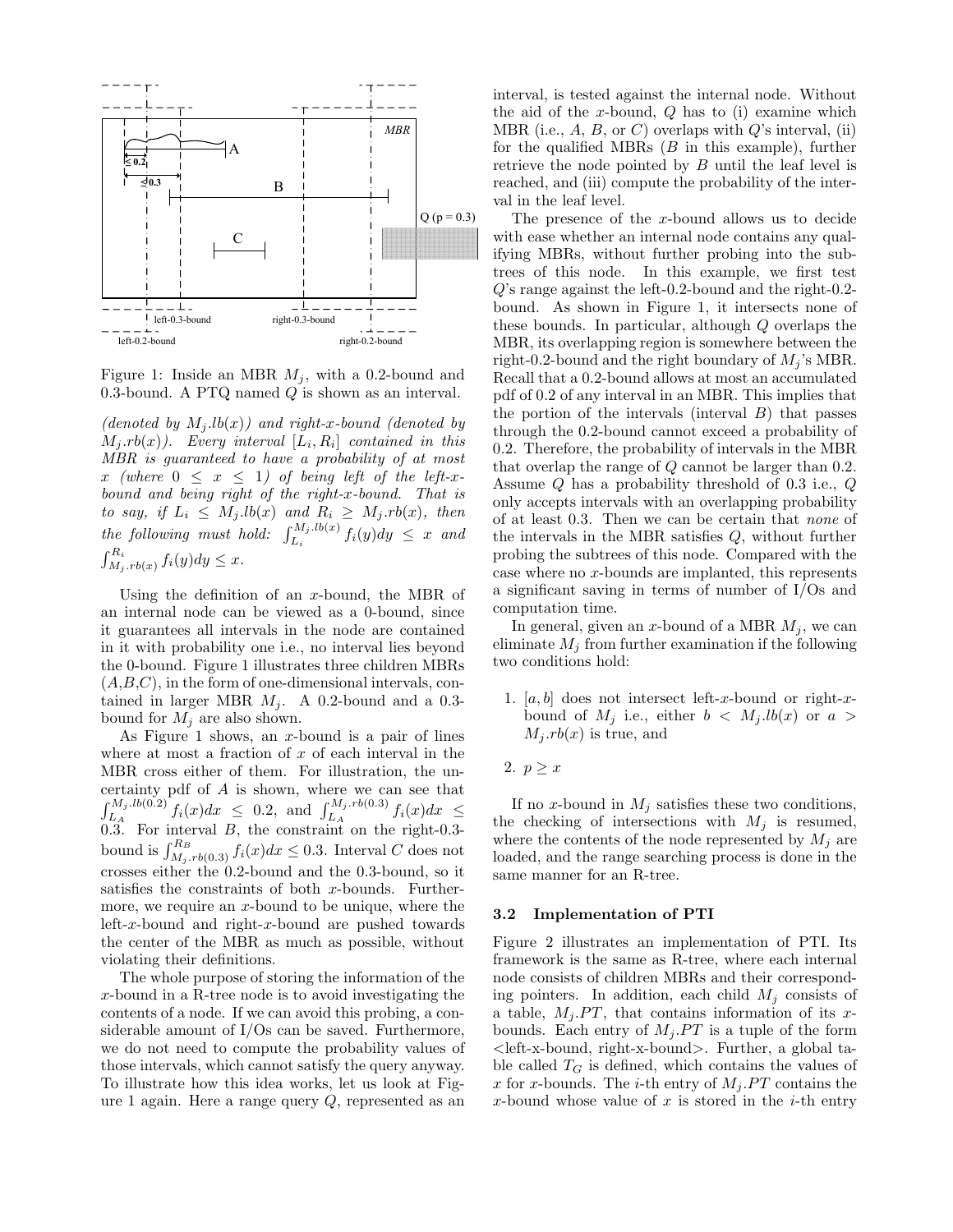

Figure 1: Inside an MBR  $M_j$ , with a 0.2-bound and 0.3-bound. A PTQ named  $Q$  is shown as an interval.

(denoted by  $M_j.lb(x)$ ) and right-x-bound (denoted by  $M_j.rb(x)$ ). Every interval  $[L_i, R_i]$  contained in this MBR is guaranteed to have a probability of at most x (where  $0 \leq x \leq 1$ ) of being left of the left-xbound and being right of the right-x-bound. That is to say, if  $L_i \leq M_j.lb(x)$  and  $R_i \geq M_j rb(x)$ , then the following must hold:  $\int_{L_i}^{M_j,lb(x)} f_i(y)dy \leq x$  and  $\int_{M_j, rb(x)}^{R_i} f_i(y) dy \leq x.$ 

Using the definition of an x-bound, the MBR of an internal node can be viewed as a 0-bound, since it guarantees all intervals in the node are contained in it with probability one i.e., no interval lies beyond the 0-bound. Figure 1 illustrates three children MBRs  $(A,B,C)$ , in the form of one-dimensional intervals, contained in larger MBR  $M_i$ . A 0.2-bound and a 0.3bound for  $M_j$  are also shown.

As Figure 1 shows, an  $x$ -bound is a pair of lines where at most a fraction of  $x$  of each interval in the MBR cross either of them. For illustration, the uncertainty pdf of A is shown, where we can see that  $\int_{L_A}^{M_j,lb(0.2)} f_i(x)dx \leq 0.2$ , and  $\int_{L_A}^{M_j,rb(0.3)} f_i(x)dx \leq$ 0.3. For interval B, the constraint on the right-0.3 bound is  $\int_{M_j, rb(0.3)}^{R_B} f_i(x) dx \leq 0.3$ . Interval C does not crosses either the 0.2-bound and the 0.3-bound, so it satisfies the constraints of both  $x$ -bounds. Furthermore, we require an  $x$ -bound to be unique, where the left-x-bound and right-x-bound are pushed towards the center of the MBR as much as possible, without violating their definitions.

The whole purpose of storing the information of the x-bound in a R-tree node is to avoid investigating the contents of a node. If we can avoid this probing, a considerable amount of I/Os can be saved. Furthermore, we do not need to compute the probability values of those intervals, which cannot satisfy the query anyway. To illustrate how this idea works, let us look at Figure 1 again. Here a range query  $Q$ , represented as an

interval, is tested against the internal node. Without the aid of the x-bound,  $Q$  has to (i) examine which MBR (i.e.,  $A$ ,  $B$ , or  $C$ ) overlaps with  $Q$ 's interval, (ii) for the qualified MBRs  $(B \text{ in this example})$ , further retrieve the node pointed by B until the leaf level is reached, and (iii) compute the probability of the interval in the leaf level.

The presence of the x-bound allows us to decide with ease whether an internal node contains any qualifying MBRs, without further probing into the subtrees of this node. In this example, we first test Q's range against the left-0.2-bound and the right-0.2 bound. As shown in Figure 1, it intersects none of these bounds. In particular, although Q overlaps the MBR, its overlapping region is somewhere between the right-0.2-bound and the right boundary of  $M_i$ 's MBR. Recall that a 0.2-bound allows at most an accumulated pdf of 0.2 of any interval in an MBR. This implies that the portion of the intervals (interval  $B$ ) that passes through the 0.2-bound cannot exceed a probability of 0.2. Therefore, the probability of intervals in the MBR that overlap the range of Q cannot be larger than 0.2. Assume Q has a probability threshold of 0.3 i.e., Q only accepts intervals with an overlapping probability of at least 0.3. Then we can be certain that none of the intervals in the MBR satisfies Q, without further probing the subtrees of this node. Compared with the case where no x-bounds are implanted, this represents a significant saving in terms of number of I/Os and computation time.

In general, given an x-bound of a MBR  $M_i$ , we can eliminate  $M_i$  from further examination if the following two conditions hold:

- 1.  $[a, b]$  does not intersect left-x-bound or right-xbound of  $M_j$  i.e., either  $b < M_j$ .lb(x) or  $a >$  $M_j$  *rb*(*x*) is true, and
- 2.  $p \geq x$

If no x-bound in  $M_j$  satisfies these two conditions, the checking of intersections with  $M_j$  is resumed, where the contents of the node represented by  $M_i$  are loaded, and the range searching process is done in the same manner for an R-tree.

## 3.2 Implementation of PTI

Figure 2 illustrates an implementation of PTI. Its framework is the same as R-tree, where each internal node consists of children MBRs and their corresponding pointers. In addition, each child  $M_i$  consists of a table,  $M_i PT$ , that contains information of its xbounds. Each entry of  $M_i$ . PT is a tuple of the form <left-x-bound, right-x-bound>. Further, a global table called  $T_G$  is defined, which contains the values of x for x-bounds. The *i*-th entry of  $M_j$ . PT contains the x-bound whose value of  $x$  is stored in the *i*-th entry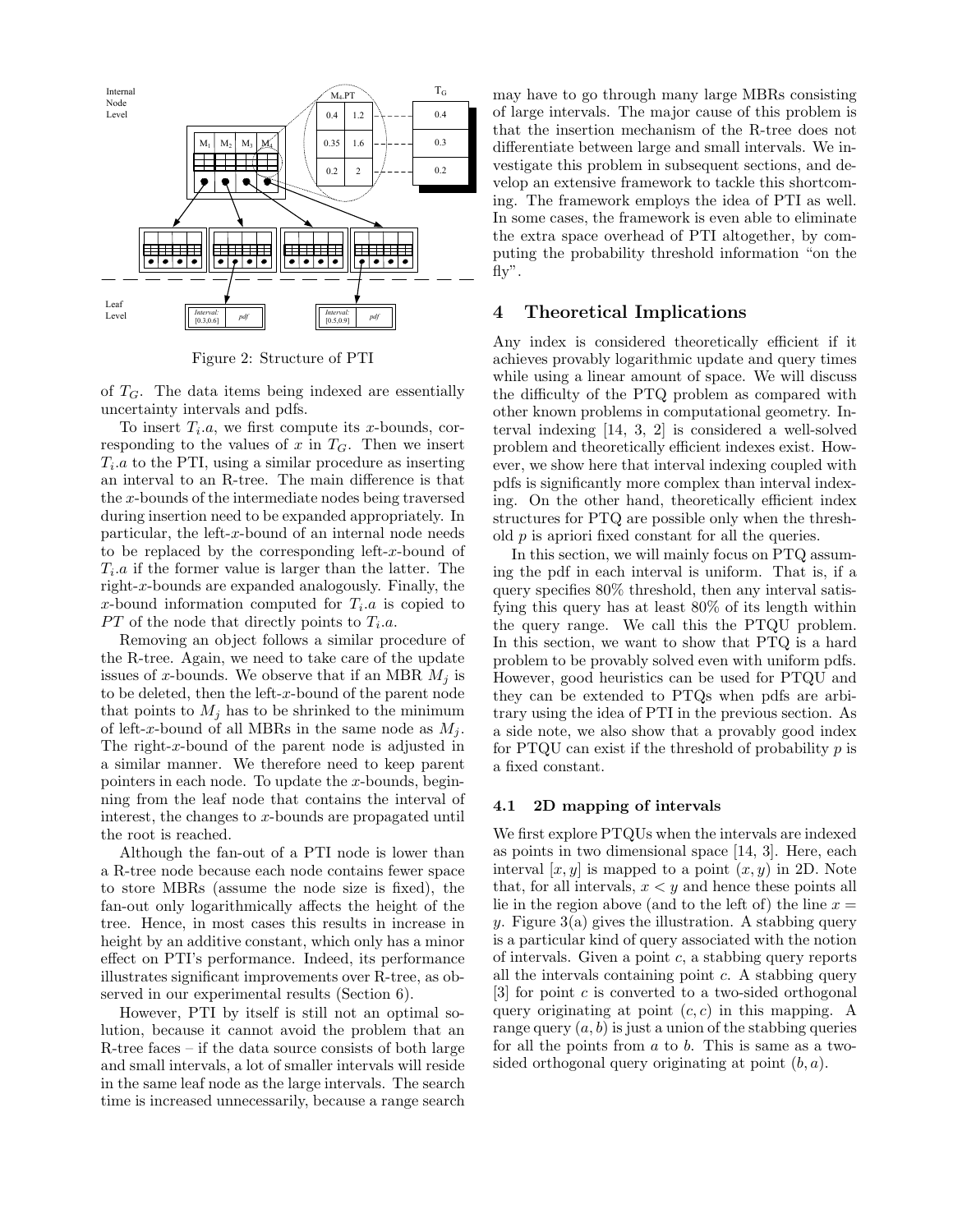

Figure 2: Structure of PTI

of  $T_G$ . The data items being indexed are essentially uncertainty intervals and pdfs.

To insert  $T_i.a$ , we first compute its x-bounds, corresponding to the values of  $x$  in  $T<sub>G</sub>$ . Then we insert  $T_i.a$  to the PTI, using a similar procedure as inserting an interval to an R-tree. The main difference is that the x-bounds of the intermediate nodes being traversed during insertion need to be expanded appropriately. In particular, the left-x-bound of an internal node needs to be replaced by the corresponding left-x-bound of  $T_i.a$  if the former value is larger than the latter. The right-x-bounds are expanded analogously. Finally, the x-bound information computed for  $T_i.a$  is copied to  $PT$  of the node that directly points to  $T_i.a$ .

Removing an object follows a similar procedure of the R-tree. Again, we need to take care of the update issues of x-bounds. We observe that if an MBR  $M_i$  is to be deleted, then the left-x-bound of the parent node that points to  $M_i$  has to be shrinked to the minimum of left-x-bound of all MBRs in the same node as  $M_i$ . The right-x-bound of the parent node is adjusted in a similar manner. We therefore need to keep parent pointers in each node. To update the  $x$ -bounds, beginning from the leaf node that contains the interval of interest, the changes to x-bounds are propagated until the root is reached.

Although the fan-out of a PTI node is lower than a R-tree node because each node contains fewer space to store MBRs (assume the node size is fixed), the fan-out only logarithmically affects the height of the tree. Hence, in most cases this results in increase in height by an additive constant, which only has a minor effect on PTI's performance. Indeed, its performance illustrates significant improvements over R-tree, as observed in our experimental results (Section 6).

However, PTI by itself is still not an optimal solution, because it cannot avoid the problem that an R-tree faces – if the data source consists of both large and small intervals, a lot of smaller intervals will reside in the same leaf node as the large intervals. The search time is increased unnecessarily, because a range search

may have to go through many large MBRs consisting of large intervals. The major cause of this problem is that the insertion mechanism of the R-tree does not differentiate between large and small intervals. We investigate this problem in subsequent sections, and develop an extensive framework to tackle this shortcoming. The framework employs the idea of PTI as well. In some cases, the framework is even able to eliminate the extra space overhead of PTI altogether, by computing the probability threshold information "on the fly".

# 4 Theoretical Implications

Any index is considered theoretically efficient if it achieves provably logarithmic update and query times while using a linear amount of space. We will discuss the difficulty of the PTQ problem as compared with other known problems in computational geometry. Interval indexing [14, 3, 2] is considered a well-solved problem and theoretically efficient indexes exist. However, we show here that interval indexing coupled with pdfs is significantly more complex than interval indexing. On the other hand, theoretically efficient index structures for PTQ are possible only when the threshold p is apriori fixed constant for all the queries.

In this section, we will mainly focus on PTQ assuming the pdf in each interval is uniform. That is, if a query specifies 80% threshold, then any interval satisfying this query has at least 80% of its length within the query range. We call this the PTQU problem. In this section, we want to show that PTQ is a hard problem to be provably solved even with uniform pdfs. However, good heuristics can be used for PTQU and they can be extended to PTQs when pdfs are arbitrary using the idea of PTI in the previous section. As a side note, we also show that a provably good index for PTQU can exist if the threshold of probability  $p$  is a fixed constant.

## 4.1 2D mapping of intervals

We first explore PTQUs when the intervals are indexed as points in two dimensional space [14, 3]. Here, each interval  $[x, y]$  is mapped to a point  $(x, y)$  in 2D. Note that, for all intervals,  $x < y$  and hence these points all lie in the region above (and to the left of) the line  $x =$ y. Figure  $3(a)$  gives the illustration. A stabbing query is a particular kind of query associated with the notion of intervals. Given a point  $c$ , a stabbing query reports all the intervals containing point  $c$ . A stabbing query  $[3]$  for point c is converted to a two-sided orthogonal query originating at point  $(c, c)$  in this mapping. A range query  $(a, b)$  is just a union of the stabbing queries for all the points from  $a$  to  $b$ . This is same as a twosided orthogonal query originating at point  $(b, a)$ .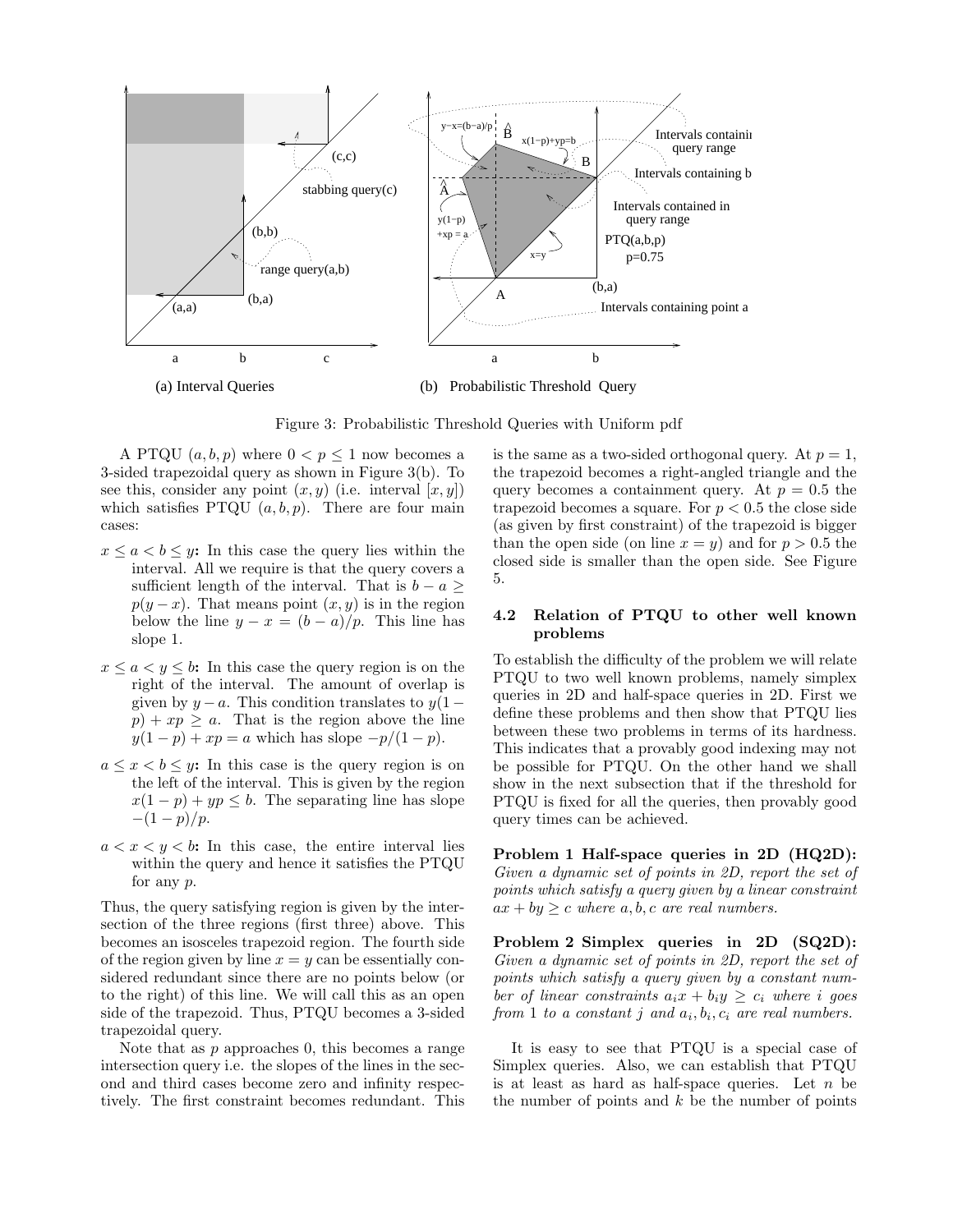

Figure 3: Probabilistic Threshold Queries with Uniform pdf

A PTQU  $(a, b, p)$  where  $0 < p \le 1$  now becomes a 3-sided trapezoidal query as shown in Figure 3(b). To see this, consider any point  $(x, y)$  (i.e. interval  $[x, y]$ ) which satisfies PTQU  $(a, b, p)$ . There are four main cases:

- $x \leq a \leq b \leq y$ : In this case the query lies within the interval. All we require is that the query covers a sufficient length of the interval. That is  $b - a \geq$  $p(y-x)$ . That means point  $(x, y)$  is in the region below the line  $y - x = (b - a)/p$ . This line has slope 1.
- $x \le a \le y \le b$ : In this case the query region is on the right of the interval. The amount of overlap is given by  $y - a$ . This condition translates to  $y(1 - a)$  $p) + xp \geq a$ . That is the region above the line  $y(1-p) + xp = a$  which has slope  $-p/(1-p)$ .
- $a \leq x < b \leq y$ : In this case is the query region is on the left of the interval. This is given by the region  $x(1-p) + yp \leq b$ . The separating line has slope  $-(1-p)/p$ .
- $a < x < y < b$ : In this case, the entire interval lies within the query and hence it satisfies the PTQU for any p.

Thus, the query satisfying region is given by the intersection of the three regions (first three) above. This becomes an isosceles trapezoid region. The fourth side of the region given by line  $x = y$  can be essentially considered redundant since there are no points below (or to the right) of this line. We will call this as an open side of the trapezoid. Thus, PTQU becomes a 3-sided trapezoidal query.

Note that as  $p$  approaches  $0$ , this becomes a range intersection query i.e. the slopes of the lines in the second and third cases become zero and infinity respectively. The first constraint becomes redundant. This

is the same as a two-sided orthogonal query. At  $p = 1$ , the trapezoid becomes a right-angled triangle and the query becomes a containment query. At  $p = 0.5$  the trapezoid becomes a square. For  $p < 0.5$  the close side (as given by first constraint) of the trapezoid is bigger than the open side (on line  $x = y$ ) and for  $p > 0.5$  the closed side is smaller than the open side. See Figure 5.

## 4.2 Relation of PTQU to other well known problems

To establish the difficulty of the problem we will relate PTQU to two well known problems, namely simplex queries in 2D and half-space queries in 2D. First we define these problems and then show that PTQU lies between these two problems in terms of its hardness. This indicates that a provably good indexing may not be possible for PTQU. On the other hand we shall show in the next subsection that if the threshold for PTQU is fixed for all the queries, then provably good query times can be achieved.

Problem 1 Half-space queries in 2D (HQ2D): Given a dynamic set of points in 2D, report the set of points which satisfy a query given by a linear constraint  $ax + by \geq c$  where  $a, b, c$  are real numbers.

Problem 2 Simplex queries in 2D (SQ2D): Given a dynamic set of points in 2D, report the set of points which satisfy a query given by a constant number of linear constraints  $a_i x + b_i y \geq c_i$  where i goes from 1 to a constant j and  $a_i, b_i, c_i$  are real numbers.

It is easy to see that PTQU is a special case of Simplex queries. Also, we can establish that PTQU is at least as hard as half-space queries. Let  $n$  be the number of points and  $k$  be the number of points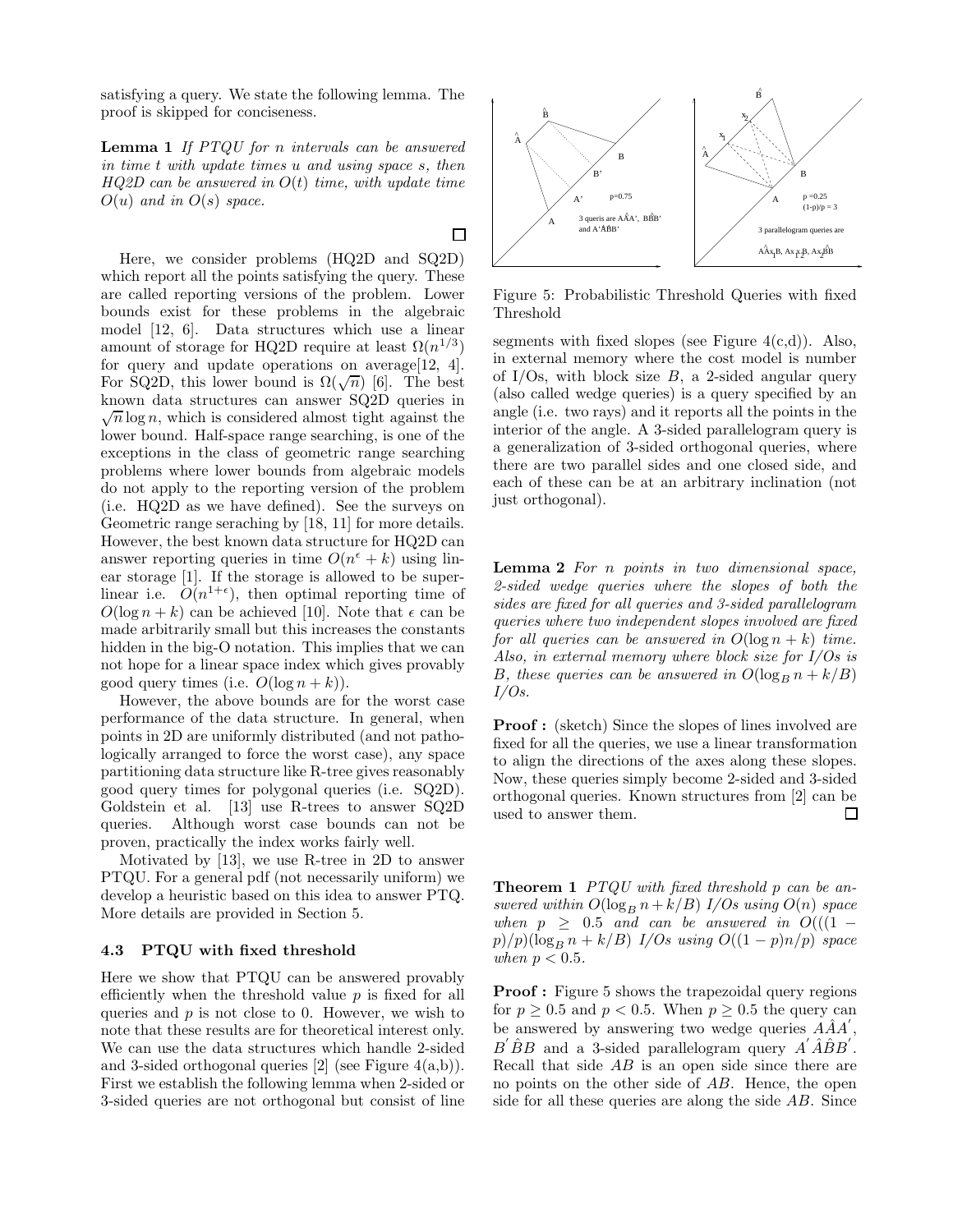satisfying a query. We state the following lemma. The proof is skipped for conciseness.

Lemma 1 If PTQU for n intervals can be answered in time t with update times u and using space s, then  $HQ2D$  can be answered in  $O(t)$  time, with update time  $O(u)$  and in  $O(s)$  space.

Here, we consider problems (HQ2D and SQ2D) which report all the points satisfying the query. These are called reporting versions of the problem. Lower bounds exist for these problems in the algebraic model [12, 6]. Data structures which use a linear amount of storage for HQ2D require at least  $\Omega(n^{1/3})$ for query and update operations on average[12, 4]. For SQ2D, this lower bound is  $\Omega(\sqrt{n})$  [6]. The best known data structures can answer SQ2D queries in  $\sqrt{n} \log n$ , which is considered almost tight against the lower bound. Half-space range searching, is one of the exceptions in the class of geometric range searching problems where lower bounds from algebraic models do not apply to the reporting version of the problem (i.e. HQ2D as we have defined). See the surveys on Geometric range seraching by [18, 11] for more details. However, the best known data structure for HQ2D can answer reporting queries in time  $O(n^{\epsilon} + k)$  using linear storage [1]. If the storage is allowed to be superlinear i.e.  $\tilde{O}(n^{1+\epsilon})$ , then optimal reporting time of  $O(\log n + k)$  can be achieved [10]. Note that  $\epsilon$  can be made arbitrarily small but this increases the constants hidden in the big-O notation. This implies that we can not hope for a linear space index which gives provably good query times (i.e.  $O(\log n + k)$ ).

However, the above bounds are for the worst case performance of the data structure. In general, when points in 2D are uniformly distributed (and not pathologically arranged to force the worst case), any space partitioning data structure like R-tree gives reasonably good query times for polygonal queries (i.e. SQ2D). Goldstein et al. [13] use R-trees to answer SQ2D queries. Although worst case bounds can not be proven, practically the index works fairly well.

Motivated by [13], we use R-tree in 2D to answer PTQU. For a general pdf (not necessarily uniform) we develop a heuristic based on this idea to answer PTQ. More details are provided in Section 5.

## 4.3 PTQU with fixed threshold

Here we show that PTQU can be answered provably efficiently when the threshold value  $p$  is fixed for all queries and  $p$  is not close to 0. However, we wish to note that these results are for theoretical interest only. We can use the data structures which handle 2-sided and 3-sided orthogonal queries  $[2]$  (see Figure  $4(a,b)$ ). First we establish the following lemma when 2-sided or 3-sided queries are not orthogonal but consist of line



Figure 5: Probabilistic Threshold Queries with fixed Threshold

segments with fixed slopes (see Figure  $4(c,d)$ ). Also, in external memory where the cost model is number of I/Os, with block size  $B$ , a 2-sided angular query (also called wedge queries) is a query specified by an angle (i.e. two rays) and it reports all the points in the interior of the angle. A 3-sided parallelogram query is a generalization of 3-sided orthogonal queries, where there are two parallel sides and one closed side, and each of these can be at an arbitrary inclination (not just orthogonal).

Lemma 2 For n points in two dimensional space, 2-sided wedge queries where the slopes of both the sides are fixed for all queries and 3-sided parallelogram queries where two independent slopes involved are fixed for all queries can be answered in  $O(\log n + k)$  time. Also, in external memory where block size for I/Os is B, these queries can be answered in  $O(\log_B n + k/B)$  $I/Os$ .

**Proof**: (sketch) Since the slopes of lines involved are fixed for all the queries, we use a linear transformation to align the directions of the axes along these slopes. Now, these queries simply become 2-sided and 3-sided orthogonal queries. Known structures from [2] can be used to answer them. ◻

Theorem 1 PTQU with fixed threshold p can be answered within  $O(\log_B n + k/B)$  I/Os using  $O(n)$  space when  $p \geq 0.5$  and can be answered in  $O((1$  $p)/p(\log_B n + k/B)$  I/Os using  $O((1-p)n/p)$  space when  $p < 0.5$ .

Proof : Figure 5 shows the trapezoidal query regions for  $p \geq 0.5$  and  $p < 0.5$ . When  $p \geq 0.5$  the query can be answered by answering two wedge queries  $\hat{A}\hat{A}A'$ ,  $B^{'}\hat{B}B$  and a 3-sided parallelogram query  $A^{'}\hat{A}\hat{B}B^{'}$ . Recall that side AB is an open side since there are no points on the other side of AB. Hence, the open side for all these queries are along the side AB. Since

 $\Box$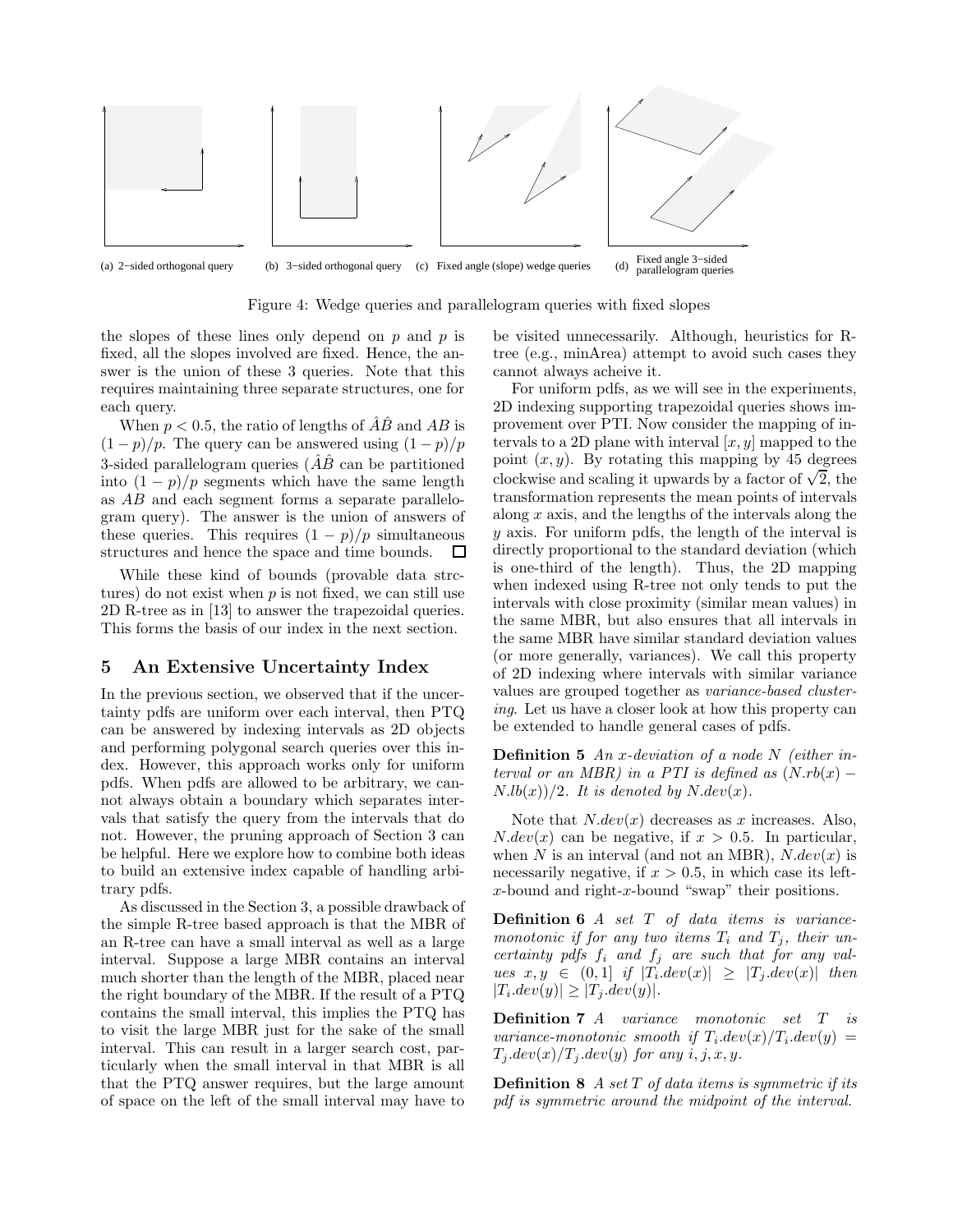

Figure 4: Wedge queries and parallelogram queries with fixed slopes

the slopes of these lines only depend on  $p$  and  $p$  is fixed, all the slopes involved are fixed. Hence, the answer is the union of these 3 queries. Note that this requires maintaining three separate structures, one for each query.

When  $p < 0.5$ , the ratio of lengths of  $\hat{A}\hat{B}$  and  $AB$  is  $(1-p)/p$ . The query can be answered using  $(1-p)/p$ 3-sided parallelogram queries  $\overline{AB}$  can be partitioned into  $(1 - p)/p$  segments which have the same length as AB and each segment forms a separate parallelogram query). The answer is the union of answers of these queries. This requires  $(1 - p)/p$  simultaneous structures and hence the space and time bounds.  $\Box$ 

While these kind of bounds (provable data strctures) do not exist when  $p$  is not fixed, we can still use 2D R-tree as in [13] to answer the trapezoidal queries. This forms the basis of our index in the next section.

# 5 An Extensive Uncertainty Index

In the previous section, we observed that if the uncertainty pdfs are uniform over each interval, then PTQ can be answered by indexing intervals as 2D objects and performing polygonal search queries over this index. However, this approach works only for uniform pdfs. When pdfs are allowed to be arbitrary, we cannot always obtain a boundary which separates intervals that satisfy the query from the intervals that do not. However, the pruning approach of Section 3 can be helpful. Here we explore how to combine both ideas to build an extensive index capable of handling arbitrary pdfs.

As discussed in the Section 3, a possible drawback of the simple R-tree based approach is that the MBR of an R-tree can have a small interval as well as a large interval. Suppose a large MBR contains an interval much shorter than the length of the MBR, placed near the right boundary of the MBR. If the result of a PTQ contains the small interval, this implies the PTQ has to visit the large MBR just for the sake of the small interval. This can result in a larger search cost, particularly when the small interval in that MBR is all that the PTQ answer requires, but the large amount of space on the left of the small interval may have to

be visited unnecessarily. Although, heuristics for Rtree (e.g., minArea) attempt to avoid such cases they cannot always acheive it.

For uniform pdfs, as we will see in the experiments, 2D indexing supporting trapezoidal queries shows improvement over PTI. Now consider the mapping of intervals to a 2D plane with interval  $[x, y]$  mapped to the point  $(x, y)$ . By rotating this mapping by 45 degrees clockwise and scaling it upwards by a factor of  $\sqrt{2}$ , the transformation represents the mean points of intervals along  $x$  axis, and the lengths of the intervals along the y axis. For uniform pdfs, the length of the interval is directly proportional to the standard deviation (which is one-third of the length). Thus, the 2D mapping when indexed using R-tree not only tends to put the intervals with close proximity (similar mean values) in the same MBR, but also ensures that all intervals in the same MBR have similar standard deviation values (or more generally, variances). We call this property of 2D indexing where intervals with similar variance values are grouped together as variance-based clustering. Let us have a closer look at how this property can be extended to handle general cases of pdfs.

**Definition 5** An x-deviation of a node N (either interval or an MBR) in a PTI is defined as  $(N.rb(x) N.lb(x)/2$ . It is denoted by  $N.dev(x)$ .

Note that  $N.dev(x)$  decreases as x increases. Also,  $N.dev(x)$  can be negative, if  $x > 0.5$ . In particular, when N is an interval (and not an MBR),  $N.dev(x)$  is necessarily negative, if  $x > 0.5$ , in which case its leftx-bound and right-x-bound "swap" their positions.

Definition 6 A set T of data items is variancemonotonic if for any two items  $T_i$  and  $T_j$ , their uncertainty pdfs  $f_i$  and  $f_j$  are such that for any val $ues \ x, y \in (0,1] \ if \ |T_idev(x)| \geq |T_jdev(x)| \ then$  $|T_i \text{.}dev(y)| \geq |T_j \text{.}dev(y)|.$ 

Definition 7 A variance monotonic set T is variance-monotonic smooth if  $T_i. dev(x)/T_i. dev(y) =$  $T_i.dev(x)/T_i.dev(y)$  for any  $i, j, x, y$ .

**Definition 8** A set  $T$  of data items is symmetric if its pdf is symmetric around the midpoint of the interval.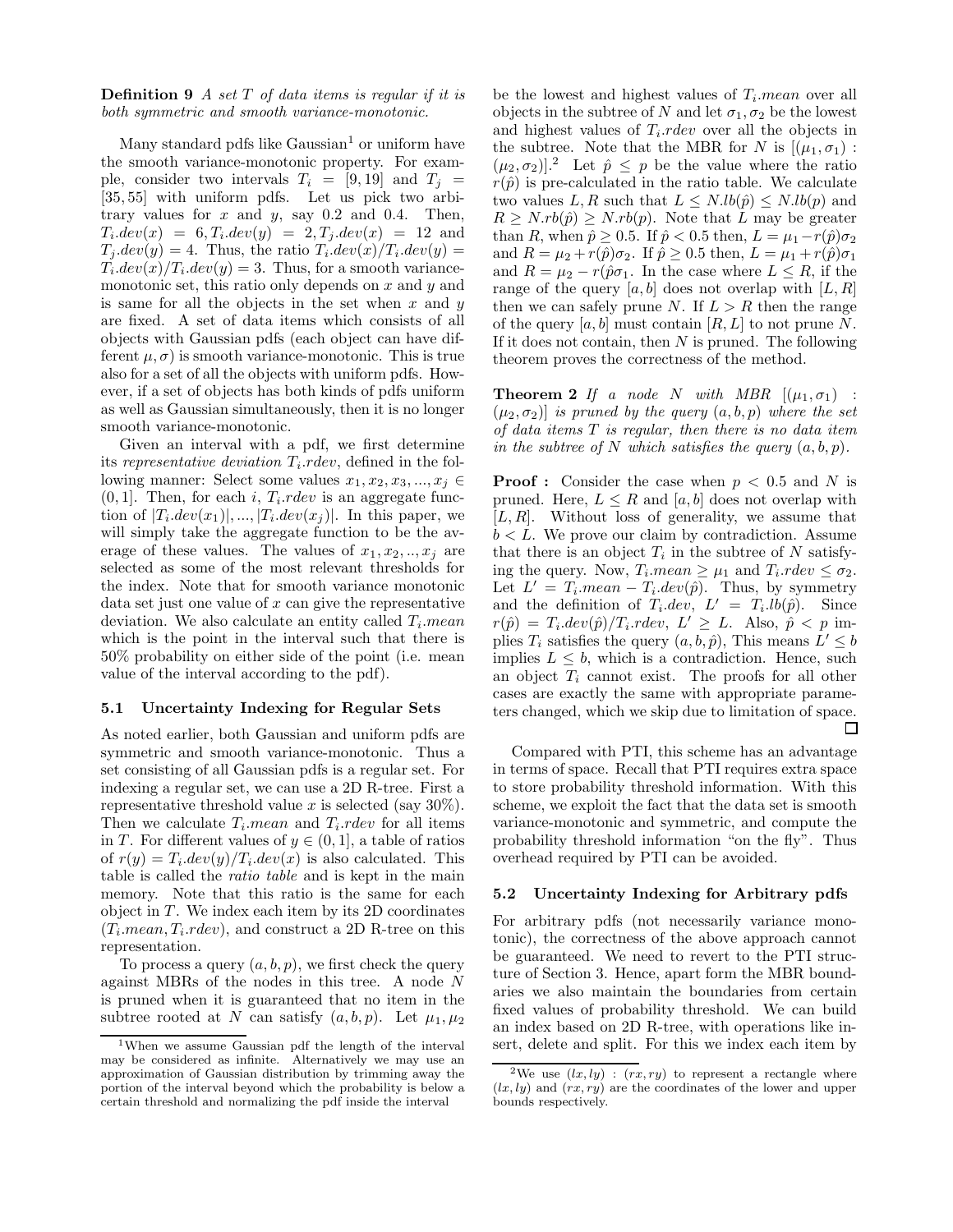## **Definition 9** A set  $T$  of data items is regular if it is both symmetric and smooth variance-monotonic.

Many standard pdfs like  $Gaussian<sup>1</sup>$  or uniform have the smooth variance-monotonic property. For example, consider two intervals  $T_i = [9, 19]$  and  $T_j =$ [35, 55] with uniform pdfs. Let us pick two arbitrary values for  $x$  and  $y$ , say 0.2 and 0.4. Then,  $T_i. dev(x) = 6, T_i. dev(y) = 2, T_j. dev(x) = 12$  and  $T_j \text{.}dev(y) = 4$ . Thus, the ratio  $T_i \text{.}dev(x)/T_i \text{.}dev(y) =$  $T_i.dev(x)/T_i.dev(y) = 3.$  Thus, for a smooth variancemonotonic set, this ratio only depends on  $x$  and  $y$  and is same for all the objects in the set when  $x$  and  $y$ are fixed. A set of data items which consists of all objects with Gaussian pdfs (each object can have different  $\mu, \sigma$  is smooth variance-monotonic. This is true also for a set of all the objects with uniform pdfs. However, if a set of objects has both kinds of pdfs uniform as well as Gaussian simultaneously, then it is no longer smooth variance-monotonic.

Given an interval with a pdf, we first determine its representative deviation  $T_i$ . rdev, defined in the following manner: Select some values  $x_1, x_2, x_3, ..., x_i \in$  $(0, 1]$ . Then, for each *i*,  $T_i$  rdev is an aggregate function of  $|T_i \text{.}dev(x_1)|, ..., |T_i \text{.}dev(x_j)|$ . In this paper, we will simply take the aggregate function to be the average of these values. The values of  $x_1, x_2, \ldots, x_j$  are selected as some of the most relevant thresholds for the index. Note that for smooth variance monotonic data set just one value of  $x$  can give the representative deviation. We also calculate an entity called  $T_i$ . mean which is the point in the interval such that there is 50% probability on either side of the point (i.e. mean value of the interval according to the pdf).

## 5.1 Uncertainty Indexing for Regular Sets

As noted earlier, both Gaussian and uniform pdfs are symmetric and smooth variance-monotonic. Thus a set consisting of all Gaussian pdfs is a regular set. For indexing a regular set, we can use a 2D R-tree. First a representative threshold value x is selected (say  $30\%$ ). Then we calculate  $T_i$  *mean* and  $T_i$  *rdev* for all items in T. For different values of  $y \in (0, 1]$ , a table of ratios of  $r(y) = T_i \cdot dev(y)/T_i \cdot dev(x)$  is also calculated. This table is called the ratio table and is kept in the main memory. Note that this ratio is the same for each object in  $T$ . We index each item by its 2D coordinates  $(T_i \text{mean}, T_i \text{.}rdev)$ , and construct a 2D R-tree on this representation.

To process a query  $(a, b, p)$ , we first check the query against MBRs of the nodes in this tree. A node N is pruned when it is guaranteed that no item in the subtree rooted at N can satisfy  $(a, b, p)$ . Let  $\mu_1, \mu_2$ 

be the lowest and highest values of  $T_i$  *mean* over all objects in the subtree of N and let  $\sigma_1, \sigma_2$  be the lowest and highest values of  $T_i$  *rdev* over all the objects in the subtree. Note that the MBR for N is  $[(\mu_1, \sigma_1)$ :  $(\mu_2, \sigma_2)$ .<sup>2</sup> Let  $\hat{p} \leq p$  be the value where the ratio  $r(\hat{p})$  is pre-calculated in the ratio table. We calculate two values L, R such that  $L \leq N.lb(\hat{p}) \leq N.lb(p)$  and  $R \geq N.rb(\hat{p}) \geq N.rb(p)$ . Note that L may be greater than R, when  $\hat{p} \geq 0.5$ . If  $\hat{p} < 0.5$  then,  $L = \mu_1 - r(\hat{p})\sigma_2$ and  $R = \mu_2 + r(\hat{p})\sigma_2$ . If  $\hat{p} \ge 0.5$  then,  $L = \mu_1 + r(\hat{p})\sigma_1$ and  $R = \mu_2 - r(\hat{p}\sigma_1)$ . In the case where  $L \leq R$ , if the range of the query  $[a, b]$  does not overlap with  $[L, R]$ then we can safely prune N. If  $L > R$  then the range of the query  $[a, b]$  must contain  $[R, L]$  to not prune N. If it does not contain, then  $N$  is pruned. The following theorem proves the correctness of the method.

**Theorem 2** If a node N with MBR  $[(\mu_1, \sigma_1)$  :  $(\mu_2, \sigma_2)$  is pruned by the query  $(a, b, p)$  where the set of data items  $T$  is regular, then there is no data item in the subtree of N which satisfies the query  $(a, b, p)$ .

**Proof :** Consider the case when  $p < 0.5$  and N is pruned. Here,  $L \leq R$  and [a, b] does not overlap with  $[L, R]$ . Without loss of generality, we assume that  $b < L$ . We prove our claim by contradiction. Assume that there is an object  $T_i$  in the subtree of N satisfying the query. Now,  $T_i$  mean  $\geq \mu_1$  and  $T_i$  rdev  $\leq \sigma_2$ . Let  $L' = T_i$  mean –  $T_i \, dev(\hat{p})$ . Thus, by symmetry and the definition of  $T_i \, dev, L' = T_i \, lb(\hat{p})$ . Since  $r(\hat{p}) = T_i \cdot dev(\hat{p})/T_i \cdot rdev, \ L' \geq L.$  Also,  $\hat{p} < p$  implies  $T_i$  satisfies the query  $(a, b, \hat{p})$ , This means  $L' \leq b$ implies  $L \leq b$ , which is a contradiction. Hence, such an object  $T_i$  cannot exist. The proofs for all other cases are exactly the same with appropriate parameters changed, which we skip due to limitation of space. П

Compared with PTI, this scheme has an advantage in terms of space. Recall that PTI requires extra space to store probability threshold information. With this scheme, we exploit the fact that the data set is smooth variance-monotonic and symmetric, and compute the probability threshold information "on the fly". Thus overhead required by PTI can be avoided.

#### 5.2 Uncertainty Indexing for Arbitrary pdfs

For arbitrary pdfs (not necessarily variance monotonic), the correctness of the above approach cannot be guaranteed. We need to revert to the PTI structure of Section 3. Hence, apart form the MBR boundaries we also maintain the boundaries from certain fixed values of probability threshold. We can build an index based on 2D R-tree, with operations like insert, delete and split. For this we index each item by

<sup>1</sup>When we assume Gaussian pdf the length of the interval may be considered as infinite. Alternatively we may use an approximation of Gaussian distribution by trimming away the portion of the interval beyond which the probability is below a certain threshold and normalizing the pdf inside the interval

<sup>&</sup>lt;sup>2</sup>We use  $(lx, ly)$ :  $(rx, ry)$  to represent a rectangle where  $(lx, ly)$  and  $(rx, ry)$  are the coordinates of the lower and upper bounds respectively.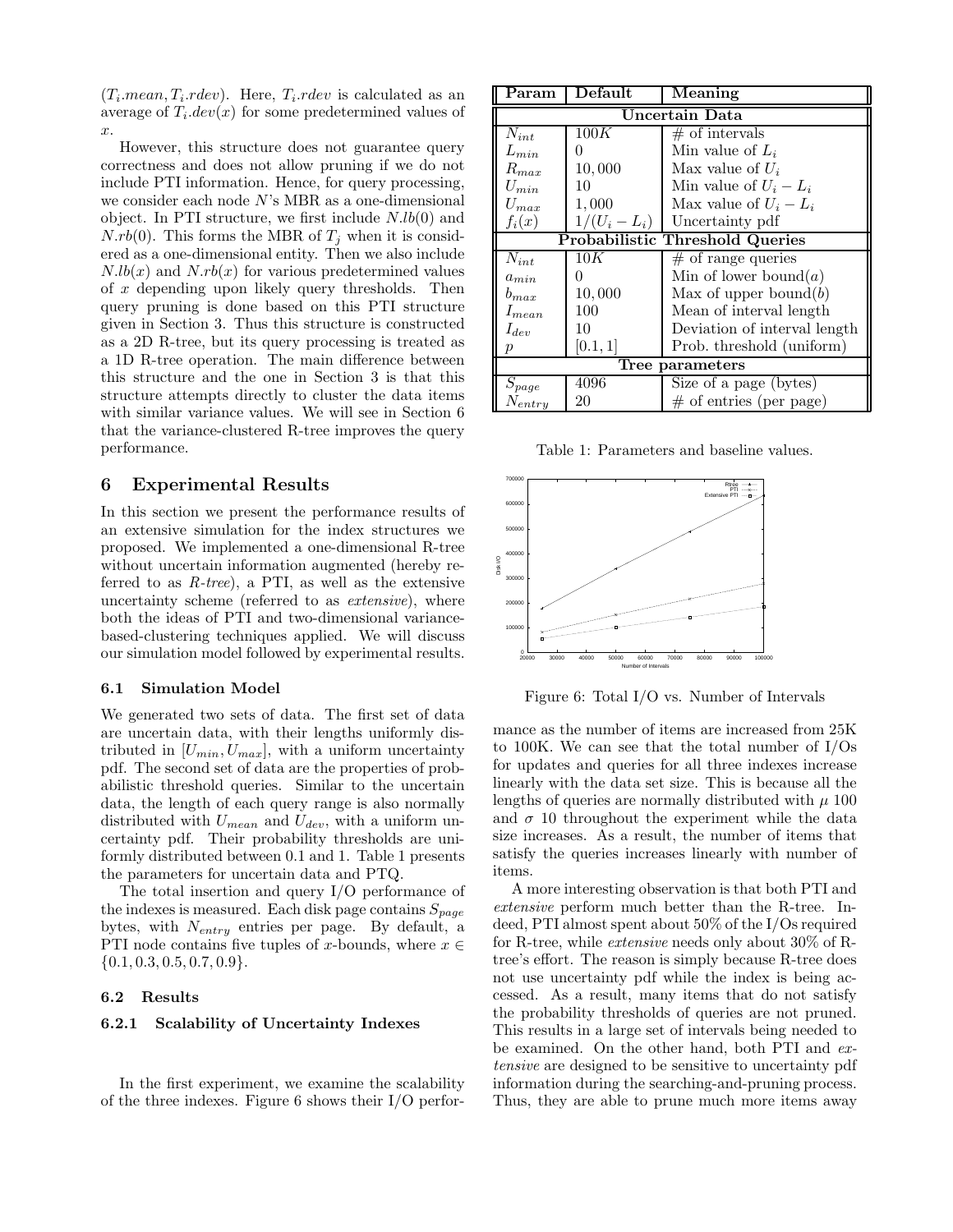$(T_i \text{...} mean, T_i \text{...} red$ . Here,  $T_i \text{...} red$  is calculated as an average of  $T_i.dev(x)$  for some predetermined values of x.

However, this structure does not guarantee query correctness and does not allow pruning if we do not include PTI information. Hence, for query processing, we consider each node  $N$ 's MBR as a one-dimensional object. In PTI structure, we first include  $N.lb(0)$  and  $N.rb(0)$ . This forms the MBR of  $T_i$  when it is considered as a one-dimensional entity. Then we also include  $N.lb(x)$  and  $N.rb(x)$  for various predetermined values of  $x$  depending upon likely query thresholds. Then query pruning is done based on this PTI structure given in Section 3. Thus this structure is constructed as a 2D R-tree, but its query processing is treated as a 1D R-tree operation. The main difference between this structure and the one in Section 3 is that this structure attempts directly to cluster the data items with similar variance values. We will see in Section 6 that the variance-clustered R-tree improves the query performance.

## 6 Experimental Results

In this section we present the performance results of an extensive simulation for the index structures we proposed. We implemented a one-dimensional R-tree without uncertain information augmented (hereby referred to as  $R$ -tree), a PTI, as well as the extensive uncertainty scheme (referred to as extensive), where both the ideas of PTI and two-dimensional variancebased-clustering techniques applied. We will discuss our simulation model followed by experimental results.

## 6.1 Simulation Model

We generated two sets of data. The first set of data are uncertain data, with their lengths uniformly distributed in  $[U_{min}, U_{max}]$ , with a uniform uncertainty pdf. The second set of data are the properties of probabilistic threshold queries. Similar to the uncertain data, the length of each query range is also normally distributed with  $U_{mean}$  and  $U_{dev}$ , with a uniform uncertainty pdf. Their probability thresholds are uniformly distributed between 0.1 and 1. Table 1 presents the parameters for uncertain data and PTQ.

The total insertion and query I/O performance of the indexes is measured. Each disk page contains  $S_{page}$ bytes, with  $N_{entry}$  entries per page. By default, a PTI node contains five tuples of x-bounds, where  $x \in$  $\{0.1, 0.3, 0.5, 0.7, 0.9\}.$ 

#### 6.2 Results

## 6.2.1 Scalability of Uncertainty Indexes

In the first experiment, we examine the scalability of the three indexes. Figure 6 shows their I/O perfor-

| Param                                  | Default         | Meaning                      |
|----------------------------------------|-----------------|------------------------------|
| Uncertain Data                         |                 |                              |
| $N_{int}$                              | 100K            | $\#$ of intervals            |
| $L_{min}$                              | 0               | Min value of $L_i$           |
| $R_{max}$                              | 10,000          | Max value of $U_i$           |
| $U_{min}$                              | 10              | Min value of $U_i - L_i$     |
| $U_{max}$                              | 1,000           | Max value of $U_i - L_i$     |
| $f_i(x)$                               | $1/(U_i - L_i)$ | Uncertainty pdf              |
| <b>Probabilistic Threshold Queries</b> |                 |                              |
| $N_{int}$                              | 10K             | $#$ of range queries         |
| $a_{min}$                              | 0               | Min of lower bound $(a)$     |
| $b_{max}$                              | 10,000          | Max of upper bound $(b)$     |
| $I_{mean}$                             | 100             | Mean of interval length      |
| $I_{dev}$                              | 10              | Deviation of interval length |
|                                        | [0.1, 1]        | Prob. threshold (uniform)    |
| Tree parameters                        |                 |                              |
| $S_{page}$                             | 4096            | Size of a page (bytes)       |
| $N_{entry}$                            | 20              | $#$ of entries (per page)    |

Table 1: Parameters and baseline values.



Figure 6: Total I/O vs. Number of Intervals

mance as the number of items are increased from 25K to 100K. We can see that the total number of I/Os for updates and queries for all three indexes increase linearly with the data set size. This is because all the lengths of queries are normally distributed with  $\mu$  100 and  $\sigma$  10 throughout the experiment while the data size increases. As a result, the number of items that satisfy the queries increases linearly with number of items.

A more interesting observation is that both PTI and extensive perform much better than the R-tree. Indeed, PTI almost spent about 50% of the I/Os required for R-tree, while extensive needs only about 30% of Rtree's effort. The reason is simply because R-tree does not use uncertainty pdf while the index is being accessed. As a result, many items that do not satisfy the probability thresholds of queries are not pruned. This results in a large set of intervals being needed to be examined. On the other hand, both PTI and extensive are designed to be sensitive to uncertainty pdf information during the searching-and-pruning process. Thus, they are able to prune much more items away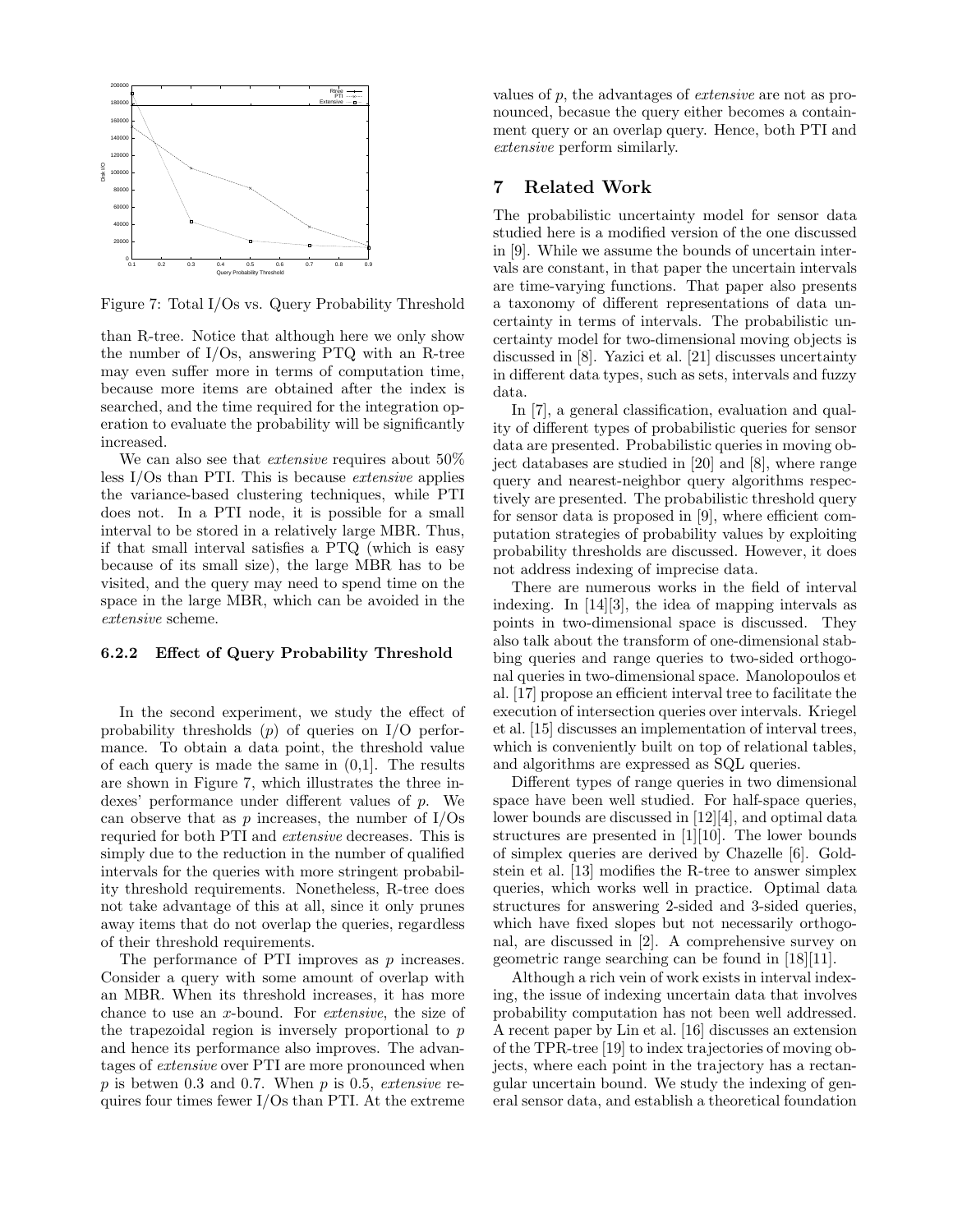

Figure 7: Total I/Os vs. Query Probability Threshold

than R-tree. Notice that although here we only show the number of I/Os, answering PTQ with an R-tree may even suffer more in terms of computation time, because more items are obtained after the index is searched, and the time required for the integration operation to evaluate the probability will be significantly increased.

We can also see that *extensive* requires about  $50\%$ less I/Os than PTI. This is because extensive applies the variance-based clustering techniques, while PTI does not. In a PTI node, it is possible for a small interval to be stored in a relatively large MBR. Thus, if that small interval satisfies a PTQ (which is easy because of its small size), the large MBR has to be visited, and the query may need to spend time on the space in the large MBR, which can be avoided in the extensive scheme.

#### 6.2.2 Effect of Query Probability Threshold

In the second experiment, we study the effect of probability thresholds  $(p)$  of queries on I/O performance. To obtain a data point, the threshold value of each query is made the same in  $(0,1]$ . The results are shown in Figure 7, which illustrates the three indexes' performance under different values of p. We can observe that as  $p$  increases, the number of  $I/Os$ requried for both PTI and extensive decreases. This is simply due to the reduction in the number of qualified intervals for the queries with more stringent probability threshold requirements. Nonetheless, R-tree does not take advantage of this at all, since it only prunes away items that do not overlap the queries, regardless of their threshold requirements.

The performance of PTI improves as p increases. Consider a query with some amount of overlap with an MBR. When its threshold increases, it has more chance to use an x-bound. For extensive, the size of the trapezoidal region is inversely proportional to  $p$ and hence its performance also improves. The advantages of extensive over PTI are more pronounced when  $p$  is betwen 0.3 and 0.7. When  $p$  is 0.5, extensive requires four times fewer I/Os than PTI. At the extreme

values of p, the advantages of extensive are not as pronounced, becasue the query either becomes a containment query or an overlap query. Hence, both PTI and extensive perform similarly.

# 7 Related Work

The probabilistic uncertainty model for sensor data studied here is a modified version of the one discussed in [9]. While we assume the bounds of uncertain intervals are constant, in that paper the uncertain intervals are time-varying functions. That paper also presents a taxonomy of different representations of data uncertainty in terms of intervals. The probabilistic uncertainty model for two-dimensional moving objects is discussed in [8]. Yazici et al. [21] discusses uncertainty in different data types, such as sets, intervals and fuzzy data.

In [7], a general classification, evaluation and quality of different types of probabilistic queries for sensor data are presented. Probabilistic queries in moving object databases are studied in [20] and [8], where range query and nearest-neighbor query algorithms respectively are presented. The probabilistic threshold query for sensor data is proposed in [9], where efficient computation strategies of probability values by exploiting probability thresholds are discussed. However, it does not address indexing of imprecise data.

There are numerous works in the field of interval indexing. In [14][3], the idea of mapping intervals as points in two-dimensional space is discussed. They also talk about the transform of one-dimensional stabbing queries and range queries to two-sided orthogonal queries in two-dimensional space. Manolopoulos et al. [17] propose an efficient interval tree to facilitate the execution of intersection queries over intervals. Kriegel et al. [15] discusses an implementation of interval trees, which is conveniently built on top of relational tables, and algorithms are expressed as SQL queries.

Different types of range queries in two dimensional space have been well studied. For half-space queries, lower bounds are discussed in [12][4], and optimal data structures are presented in [1][10]. The lower bounds of simplex queries are derived by Chazelle [6]. Goldstein et al. [13] modifies the R-tree to answer simplex queries, which works well in practice. Optimal data structures for answering 2-sided and 3-sided queries, which have fixed slopes but not necessarily orthogonal, are discussed in [2]. A comprehensive survey on geometric range searching can be found in [18][11].

Although a rich vein of work exists in interval indexing, the issue of indexing uncertain data that involves probability computation has not been well addressed. A recent paper by Lin et al. [16] discusses an extension of the TPR-tree [19] to index trajectories of moving objects, where each point in the trajectory has a rectangular uncertain bound. We study the indexing of general sensor data, and establish a theoretical foundation